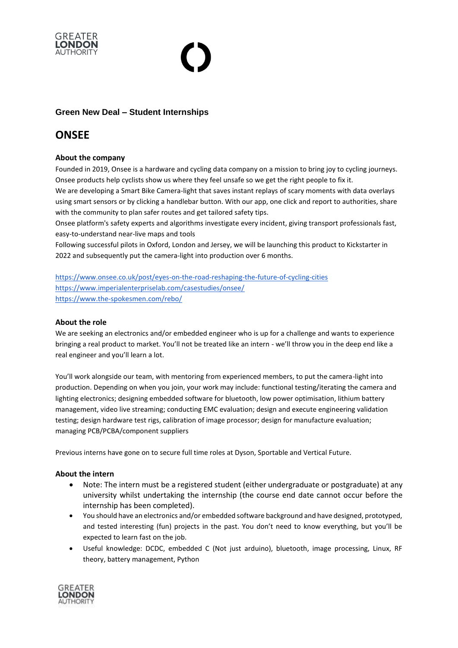

## **Green New Deal – Student Internships**

# **ONSEE**

### **About the company**

Founded in 2019, Onsee is a hardware and cycling data company on a mission to bring joy to cycling journeys. Onsee products help cyclists show us where they feel unsafe so we get the right people to fix it.

We are developing a Smart Bike Camera-light that saves instant replays of scary moments with data overlays using smart sensors or by clicking a handlebar button. With our app, one click and report to authorities, share with the community to plan safer routes and get tailored safety tips.

Onsee platform's safety experts and algorithms investigate every incident, giving transport professionals fast, easy-to-understand near-live maps and tools

Following successful pilots in Oxford, London and Jersey, we will be launching this product to Kickstarter in 2022 and subsequently put the camera-light into production over 6 months.

<https://www.onsee.co.uk/post/eyes-on-the-road-reshaping-the-future-of-cycling-cities> <https://www.imperialenterpriselab.com/casestudies/onsee/> <https://www.the-spokesmen.com/rebo/>

#### **About the role**

We are seeking an electronics and/or embedded engineer who is up for a challenge and wants to experience bringing a real product to market. You'll not be treated like an intern - we'll throw you in the deep end like a real engineer and you'll learn a lot.

You'll work alongside our team, with mentoring from experienced members, to put the camera-light into production. Depending on when you join, your work may include: functional testing/iterating the camera and lighting electronics; designing embedded software for bluetooth, low power optimisation, lithium battery management, video live streaming; conducting EMC evaluation; design and execute engineering validation testing; design hardware test rigs, calibration of image processor; design for manufacture evaluation; managing PCB/PCBA/component suppliers

Previous interns have gone on to secure full time roles at Dyson, Sportable and Vertical Future.

#### **About the intern**

- Note: The intern must be a registered student (either undergraduate or postgraduate) at any university whilst undertaking the internship (the course end date cannot occur before the internship has been completed).
- You should have an electronics and/or embedded software background and have designed, prototyped, and tested interesting (fun) projects in the past. You don't need to know everything, but you'll be expected to learn fast on the job.
- Useful knowledge: DCDC, embedded C (Not just arduino), bluetooth, image processing, Linux, RF theory, battery management, Python